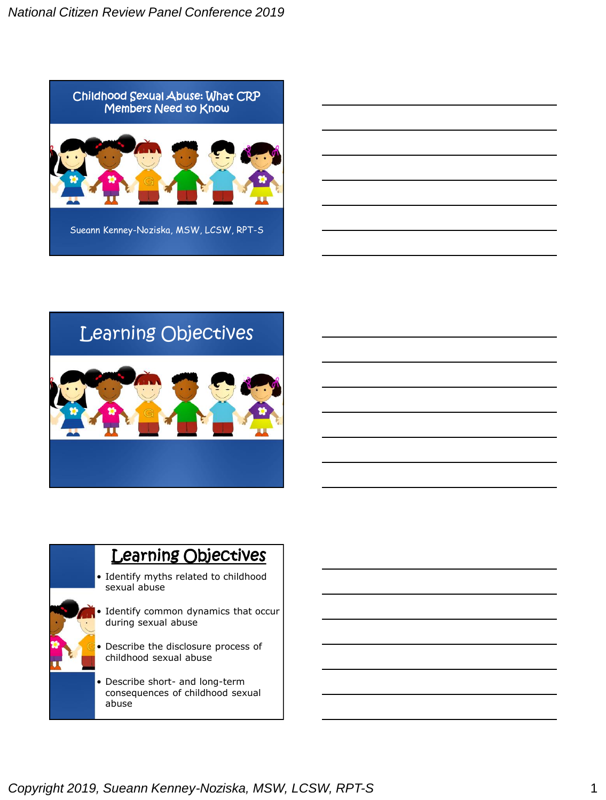

# Learning Objectives

# **Learning Objectives**

- Identify myths related to childhood sexual abuse
- Identify common dynamics that occur during sexual abuse
	- Describe the disclosure process of childhood sexual abuse
- Describe short- and long-term consequences of childhood sexual abuse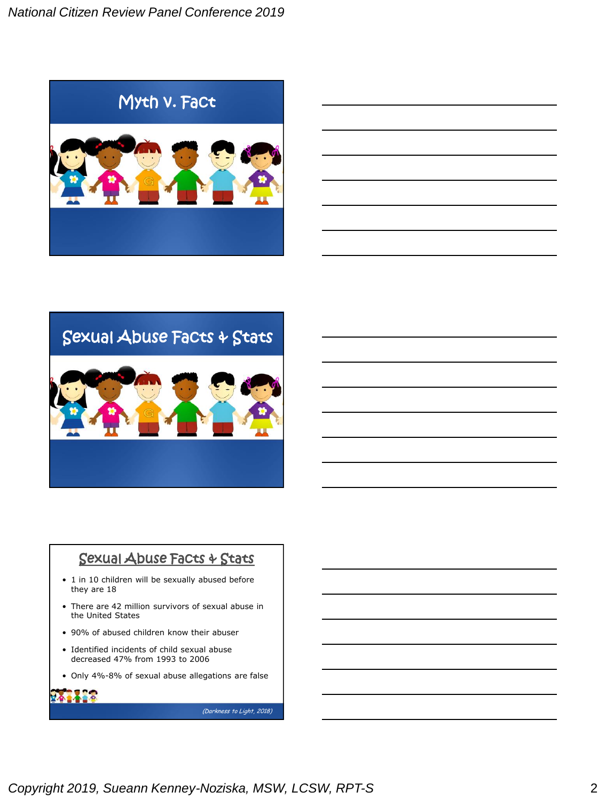





## Sexual Abuse Facts & Stats

- 1 in 10 children will be sexually abused before they are 18
- There are 42 million survivors of sexual abuse in the United States
- 90% of abused children know their abuser
- Identified incidents of child sexual abuse decreased 47% from 1993 to 2006
- Only 4%-8% of sexual abuse allegations are false

(Darkness to Light, 2018)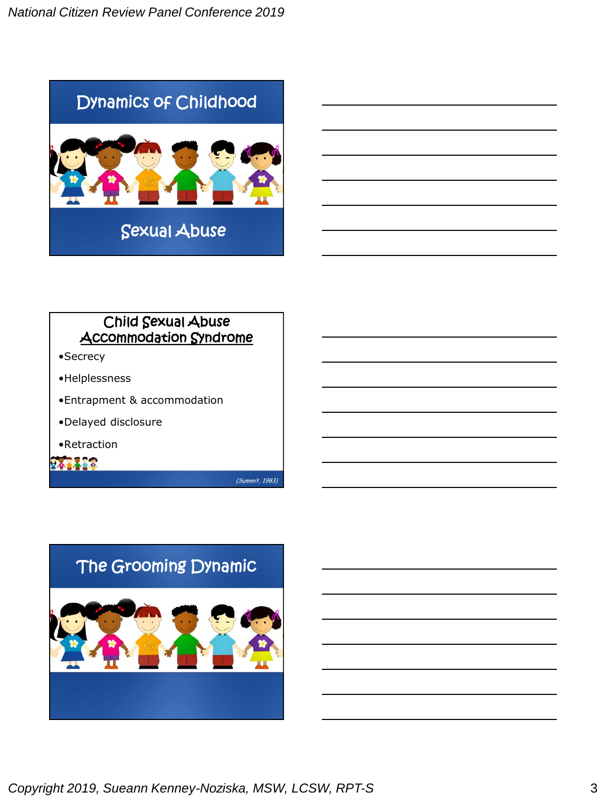

## Child Sexual Abuse Accommodation Syndrome

- •Secrecy
- •Helplessness
- •Entrapment & accommodation
- •Delayed disclosure
- •Retraction

241418

(Summit, 1983)

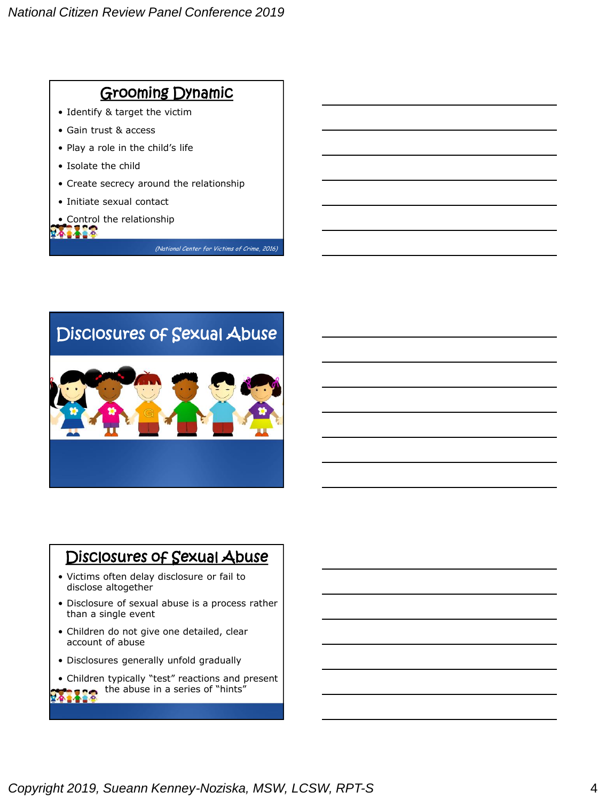# Grooming Dynamic

- Identify & target the victim
- Gain trust & access
- Play a role in the child's life
- Isolate the child
- Create secrecy around the relationship
- Initiate sexual contact
- Control the relationship

**ALACA** 

(National Center for Victims of Crime, 2016)

# Disclosures of Sexual Abuse

## Disclosures of Sexual Abuse

- Victims often delay disclosure or fail to disclose altogether
- Disclosure of sexual abuse is a process rather than a single event
- Children do not give one detailed, clear account of abuse
- Disclosures generally unfold gradually
- Children typically "test" reactions and present the abuse in a series of "hints"

22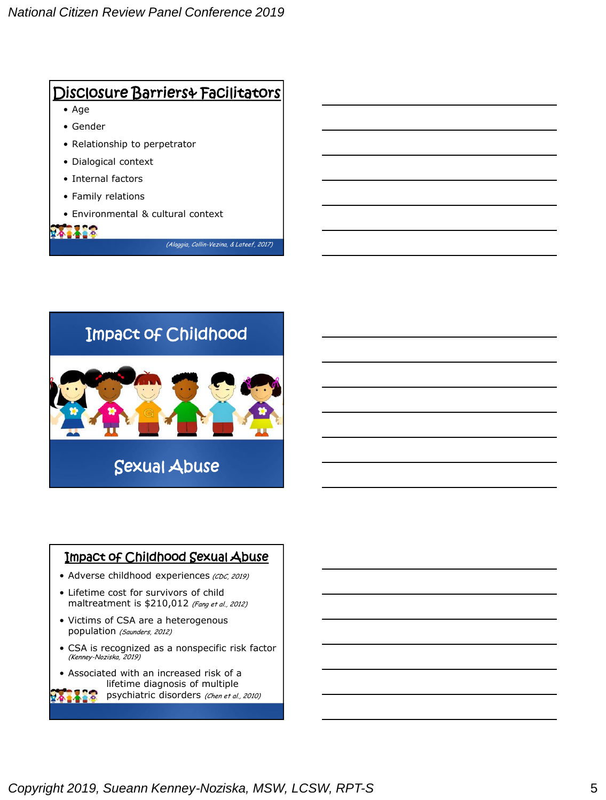



## Impact of Childhood Sexual Abuse

- Adverse childhood experiences (CDC, 2019)
- Lifetime cost for survivors of child maltreatment is \$210,012 (Fang et al., 2012)
- Victims of CSA are a heterogenous population (Saunders, 2012)
- CSA is recognized as a nonspecific risk factor (Kenney-Noziska, 2019)
- Associated with an increased risk of a lifetime diagnosis of multiple

psychiatric disorders (Chen et al., 2010)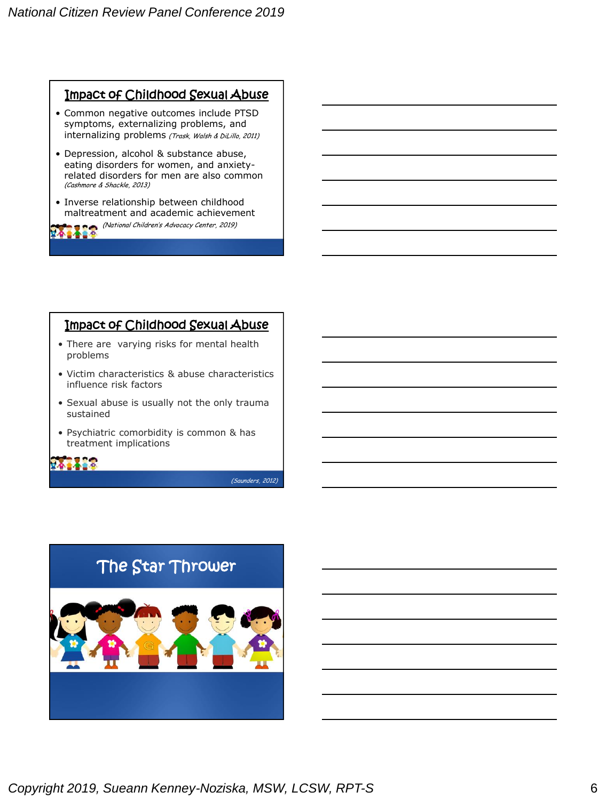## Impact of Childhood Sexual Abuse

- Common negative outcomes include PTSD symptoms, externalizing problems, and internalizing problems (Trask, Walsh & DiLillo, 2011)
- Depression, alcohol & substance abuse, eating disorders for women, and anxietyrelated disorders for men are also common (Cashmore & Shackle, 2013)
- Inverse relationship between childhood maltreatment and academic achievement

(National Children's Advocacy Center, 2019)

### Impact of Childhood Sexual Abuse

- There are varying risks for mental health problems
- Victim characteristics & abuse characteristics influence risk factors
- Sexual abuse is usually not the only trauma sustained
- Psychiatric comorbidity is common & has treatment implications

(Saunders, 2012)